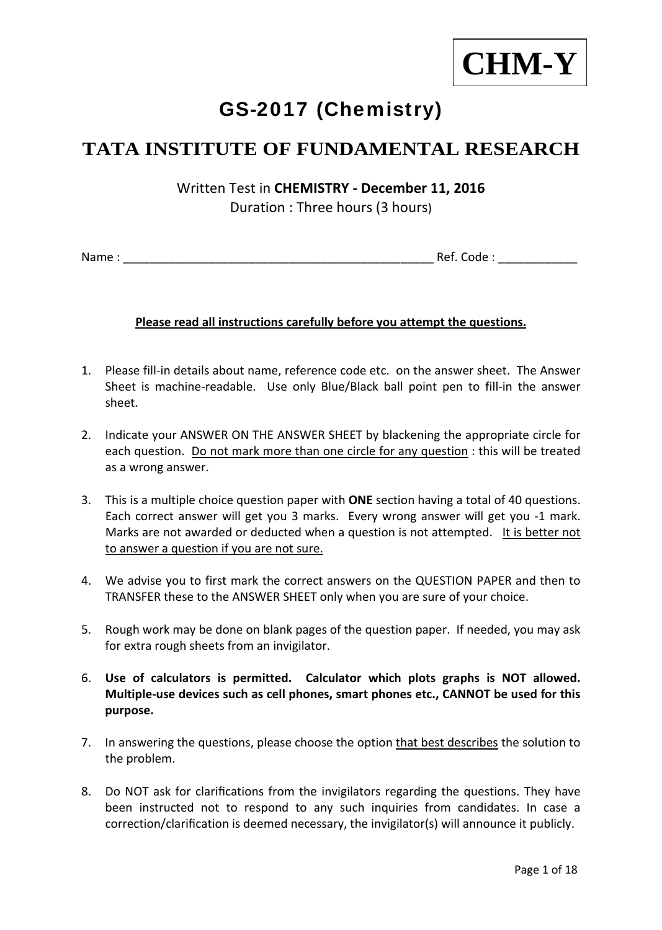

# GS-2017 (Chemistry)

## **TATA INSTITUTE OF FUNDAMENTAL RESEARCH**

Written Test in **CHEMISTRY ‐ December 11, 2016** Duration : Three hours (3 hours)

Name : \_\_\_\_\_\_\_\_\_\_\_\_\_\_\_\_\_\_\_\_\_\_\_\_\_\_\_\_\_\_\_\_\_\_\_\_\_\_\_\_\_\_\_\_\_\_\_ Ref. Code : \_\_\_\_\_\_\_\_\_\_\_\_

#### **Please read all instructions carefully before you attempt the questions.**

- 1. Please fill‐in details about name, reference code etc. on the answer sheet. The Answer Sheet is machine-readable. Use only Blue/Black ball point pen to fill-in the answer sheet.
- 2. Indicate your ANSWER ON THE ANSWER SHEET by blackening the appropriate circle for each question. Do not mark more than one circle for any question : this will be treated as a wrong answer.
- 3. This is a multiple choice question paper with **ONE** section having a total of 40 questions. Each correct answer will get you 3 marks. Every wrong answer will get you ‐1 mark. Marks are not awarded or deducted when a question is not attempted. It is better not to answer a question if you are not sure.
- 4. We advise you to first mark the correct answers on the QUESTION PAPER and then to TRANSFER these to the ANSWER SHEET only when you are sure of your choice.
- 5. Rough work may be done on blank pages of the question paper. If needed, you may ask for extra rough sheets from an invigilator.
- 6. **Use of calculators is permitted. Calculator which plots graphs is NOT allowed. Multiple‐use devices such as cell phones, smart phones etc., CANNOT be used for this purpose.**
- 7. In answering the questions, please choose the option that best describes the solution to the problem.
- 8. Do NOT ask for clarifications from the invigilators regarding the questions. They have been instructed not to respond to any such inquiries from candidates. In case a correction/clarification is deemed necessary, the invigilator(s) will announce it publicly.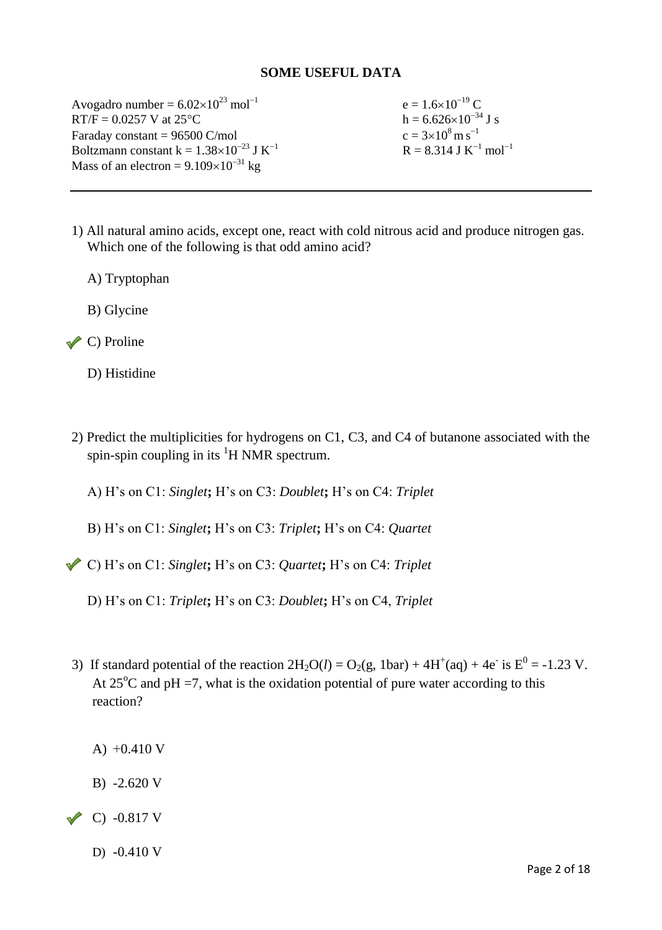#### **SOME USEFUL DATA**

Avogadro number =  $6.02 \times 10^{23}$  mol<sup>-1</sup> e =  $1.6 \times 10^{-19}$  C RT/F =  $0.0257$  V at  $25^{\circ}$ C h =  $6.626 \times 10^{-34}$  J s Faraday constant  $= 96500$  C/mol Boltzmann constant k =  $1.38\times10^{-23}$  J K<sup>-1</sup> Mass of an electron =  $9.109 \times 10^{-31}$  kg

 $c = 3 \times 10^8 \,\mathrm{m\ s}^{-1}$  $R = 8.314$  J K<sup>-1</sup> mol<sup>-1</sup>

- 1) All natural amino acids, except one, react with cold nitrous acid and produce nitrogen gas. Which one of the following is that odd amino acid?
	- A) Tryptophan
	- B) Glycine
- $\vee$  C) Proline
	- D) Histidine
- 2) Predict the multiplicities for hydrogens on C1, C3, and C4 of butanone associated with the spin-spin coupling in its  ${}^{1}H$  NMR spectrum.
	- A) H's on C1: *Singlet***;** H's on C3: *Doublet***;** H's on C4: *Triplet*
	- B) H's on C1: *Singlet***;** H's on C3: *Triplet***;** H's on C4: *Quartet*
- C) H's on C1: *Singlet***;** H's on C3: *Quartet***;** H's on C4: *Triplet*
	- D) H's on C1: *Triplet***;** H's on C3: *Doublet***;** H's on C4, *Triplet*
- 3) If standard potential of the reaction  $2H_2O(l) = O_2(g, 1bar) + 4H^+(aq) + 4e^-$  is  $E^0 = -1.23$  V. At  $25^{\circ}$ C and pH =7, what is the oxidation potential of pure water according to this reaction?
	- A) +0.410 V
	- B) -2.620 V
- $\sim$  C) -0.817 V
	- D) -0.410 V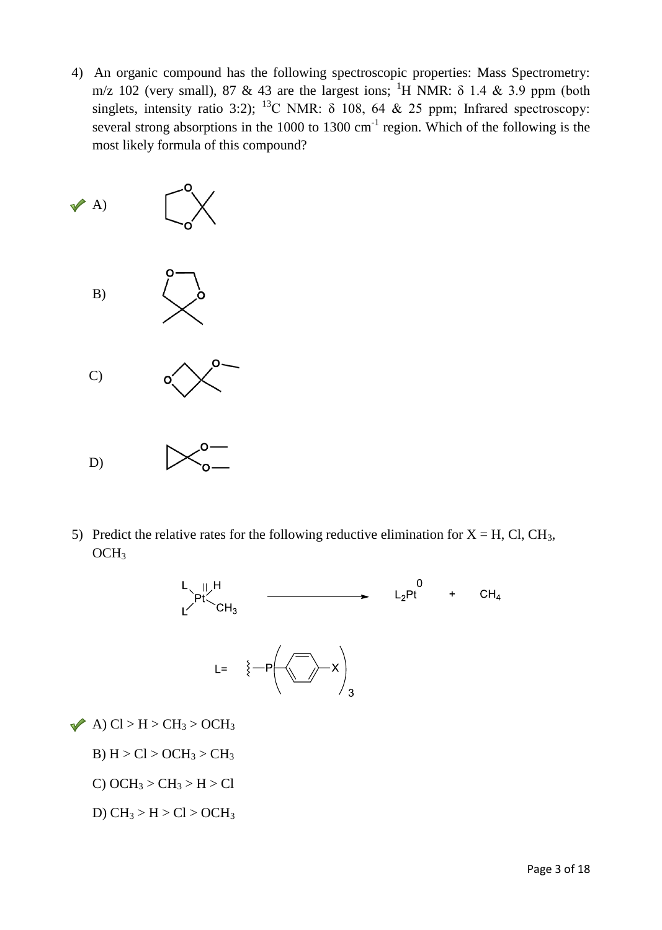4) An organic compound has the following spectroscopic properties: Mass Spectrometry: m/z 102 (very small), 87 & 43 are the largest ions; <sup>1</sup>H NMR:  $\delta$  1.4 & 3.9 ppm (both singlets, intensity ratio 3:2); <sup>13</sup>C NMR:  $\delta$  108, 64 & 25 ppm; Infrared spectroscopy: several strong absorptions in the 1000 to 1300  $cm^{-1}$  region. Which of the following is the most likely formula of this compound?



5) Predict the relative rates for the following reductive elimination for  $X = H$ , Cl, CH<sub>3</sub>,  $OCH<sub>3</sub>$ 



 $\blacktriangleright$  A) Cl > H > CH<sub>3</sub> > OCH<sub>3</sub>

- B)  $H > Cl > OCH<sub>3</sub> > CH<sub>3</sub>$
- C)  $OCH_3 > CH_3 > H > Cl$
- D)  $CH_3 > H > Cl > OCH_3$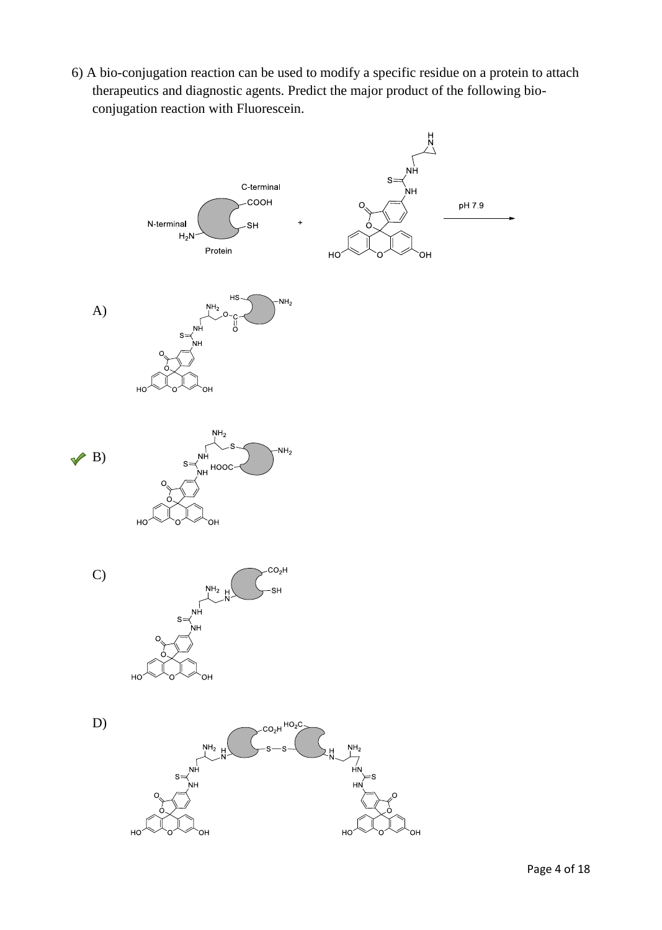6) A bio-conjugation reaction can be used to modify a specific residue on a protein to attach therapeutics and diagnostic agents. Predict the major product of the following bioconjugation reaction with Fluorescein.

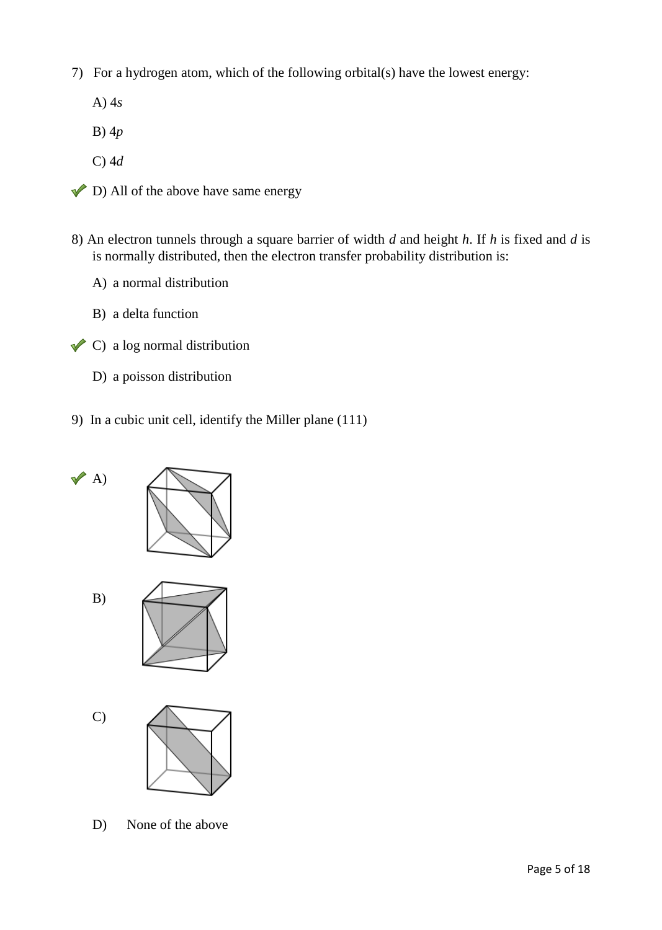- 7) For a hydrogen atom, which of the following orbital(s) have the lowest energy:
	- A) 4*s*
	- B) 4*p*
	- C) 4*d*
- $\triangleright$  D) All of the above have same energy
- 8) An electron tunnels through a square barrier of width *d* and height *h*. If *h* is fixed and *d* is is normally distributed, then the electron transfer probability distribution is:
	- A) a normal distribution
	- B) a delta function
- $\triangle$  C) a log normal distribution
	- D) a poisson distribution
- 9) In a cubic unit cell, identify the Miller plane (111)



D) None of the above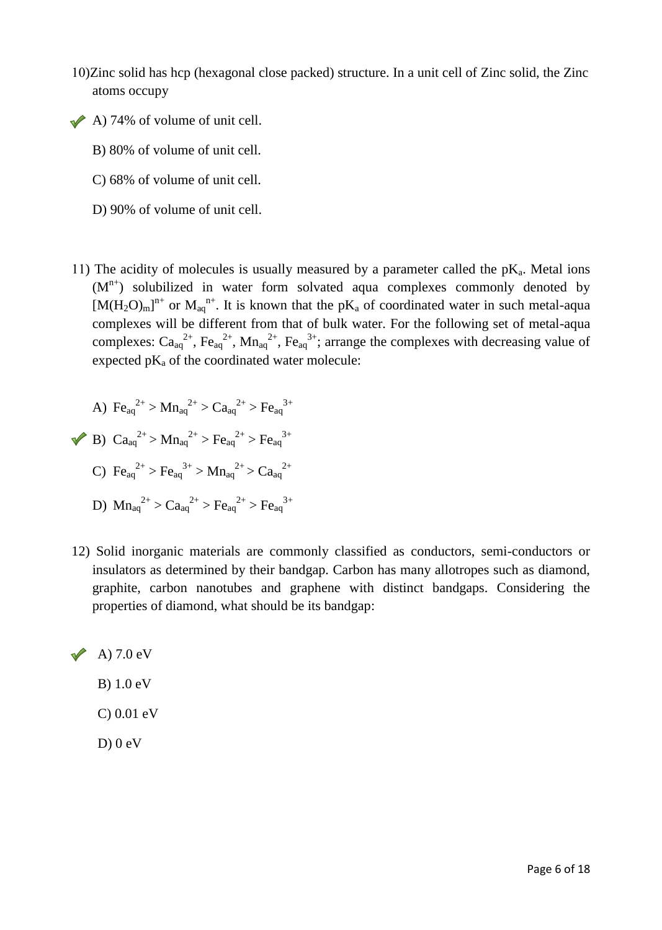- 10)Zinc solid has hcp (hexagonal close packed) structure. In a unit cell of Zinc solid, the Zinc atoms occupy
- $\triangle$  A) 74% of volume of unit cell.
	- B) 80% of volume of unit cell.
	- C) 68% of volume of unit cell.
	- D) 90% of volume of unit cell.
- 11) The acidity of molecules is usually measured by a parameter called the  $pK_a$ . Metal ions  $(M<sup>n+</sup>)$  solubilized in water form solvated aqua complexes commonly denoted by  $[M(H_2O)_m]^{n^+}$  or  $M_{aq}^{n^+}$ . It is known that the pK<sub>a</sub> of coordinated water in such metal-aqua complexes will be different from that of bulk water. For the following set of metal-aqua complexes:  $Ca_{aq}^{2+}$ ,  $Fe_{aq}^{2+}$ ,  $Mn_{aq}^{2+}$ ,  $Fe_{aq}^{3+}$ ; arrange the complexes with decreasing value of expected  $pK_a$  of the coordinated water molecule:

A) 
$$
Fe_{aq}^{2+} > Mn_{aq}^{2+} > Ca_{aq}^{2+} > Fe_{aq}^{3+}
$$
\n\nB)  $Ca_{aq}^{2+} > Mn_{aq}^{2+} > Fe_{aq}^{2+} > Fe_{aq}^{3+}$ \n\nC)  $Fe_{aq}^{2+} > Fe_{aq}^{3+} > Mn_{aq}^{2+} > Ca_{aq}^{2+}$ \n\nD)  $Mna_{q}^{2+} > Ca_{aq}^{2+} > Fe_{aq}^{2+} > Fe_{aq}^{3+}$ 

12) Solid inorganic materials are commonly classified as conductors, semi-conductors or insulators as determined by their bandgap. Carbon has many allotropes such as diamond, graphite, carbon nanotubes and graphene with distinct bandgaps. Considering the properties of diamond, what should be its bandgap:



C) 0.01 eV

 $D$ ) 0 eV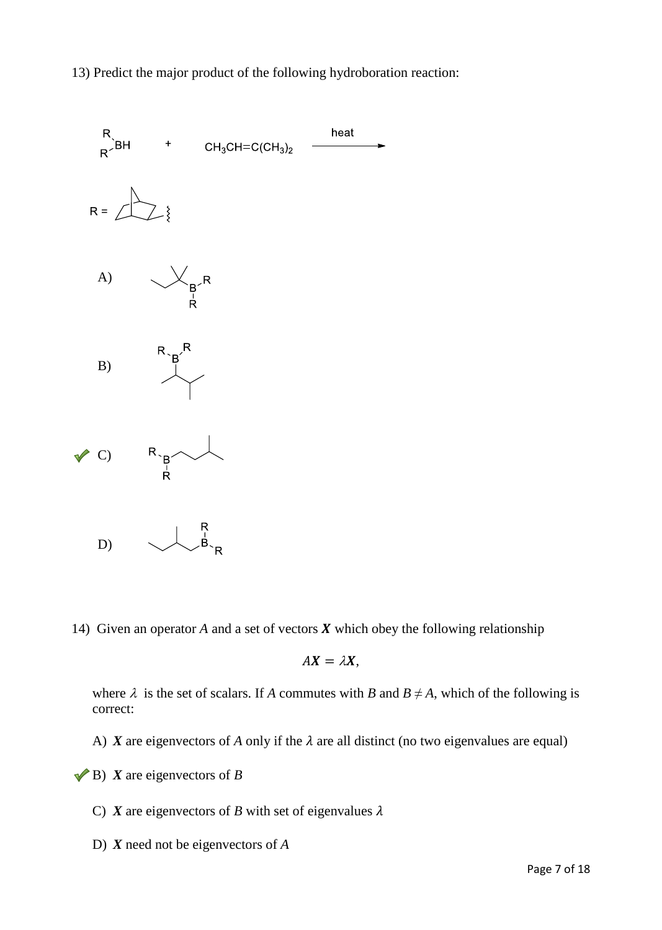13) Predict the major product of the following hydroboration reaction:



14) Given an operator  $A$  and a set of vectors  $X$  which obey the following relationship

$$
AX=\lambda X,
$$

where  $\lambda$  is the set of scalars. If *A* commutes with *B* and  $B \neq A$ , which of the following is correct:

A) *X* are eigenvectors of *A* only if the  $\lambda$  are all distinct (no two eigenvalues are equal)

 $\blacktriangleright$  **B**) *X* are eigenvectors of *B* 

C) *X* are eigenvectors of *B* with set of eigenvalues  $\lambda$ 

D) *X* need not be eigenvectors of *A*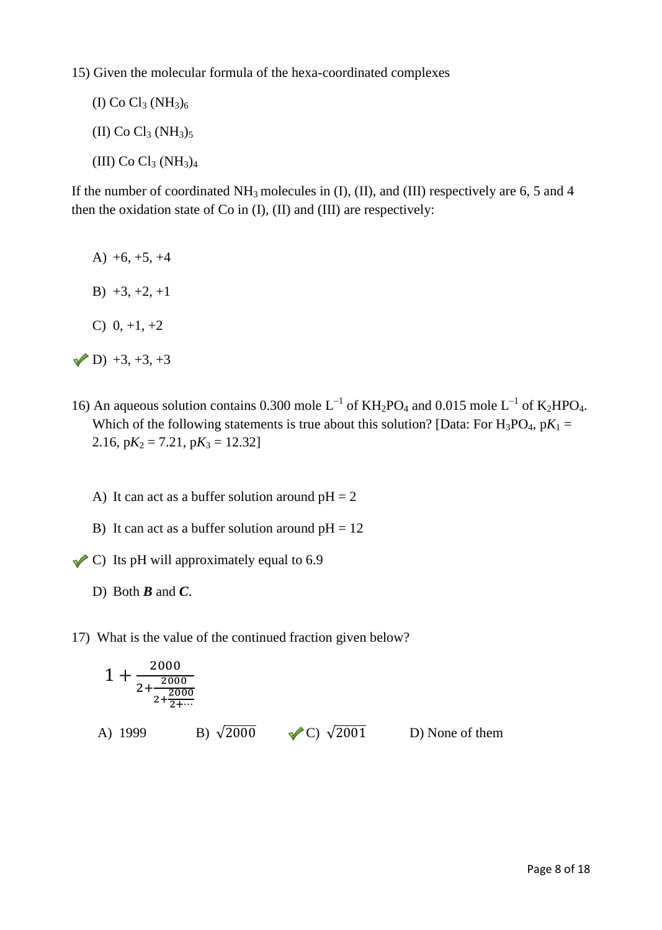15) Given the molecular formula of the hexa-coordinated complexes

(I) Co  $Cl_3 (NH_3)_6$ (II) Co  $Cl_3 (NH_3)_5$ 

(III) Co  $Cl_3$  (NH<sub>3</sub>)<sub>4</sub>

If the number of coordinated  $NH_3$  molecules in (I), (II), and (III) respectively are 6, 5 and 4 then the oxidation state of Co in (I), (II) and (III) are respectively:

- A)  $+6, +5, +4$
- B)  $+3, +2, +1$
- C)  $0, +1, +2$
- $(D) +3, +3, +3$
- 16) An aqueous solution contains 0.300 mole  $L^{-1}$  of KH<sub>2</sub>PO<sub>4</sub> and 0.015 mole  $L^{-1}$  of K<sub>2</sub>HPO<sub>4</sub>. Which of the following statements is true about this solution? [Data: For  $H_3PO_4$ ,  $pK_1 =$ 2.16,  $pK_2 = 7.21$ ,  $pK_3 = 12.32$ 
	- A) It can act as a buffer solution around  $pH = 2$
	- B) It can act as a buffer solution around  $pH = 12$
- $\triangle$  C) Its pH will approximately equal to 6.9
	- D) Both *B* and *C*.
- 17) What is the value of the continued fraction given below?

$$
1 + \frac{2000}{2 + \frac{2000}{2 + \frac{2000}{2 + \dots}}}
$$
  
\nA) 1999  
\nB)  $\sqrt{2000}$    
\nC)  $\sqrt{2001}$    
\nD) None of them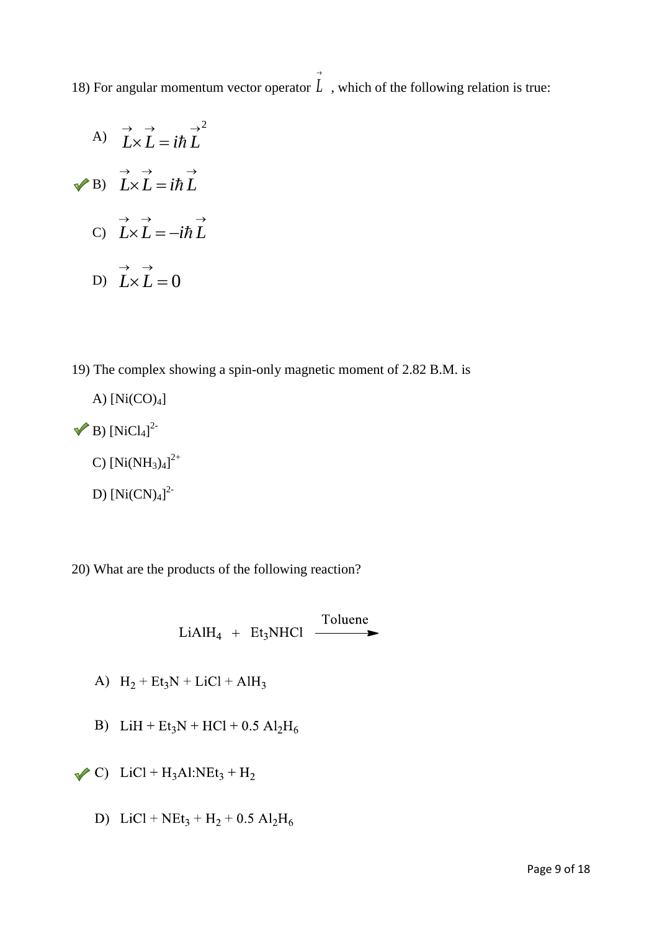18) For angular momentum vector operator *L* , which of the following relation is true:  $\rightarrow$ 

- A) B) C) D)  $L \times L = 0$  $\rightarrow$   $\rightarrow$ *LL*  $\rightarrow \quad \rightarrow \qquad \rightarrow$  $L \times L = -i\hbar L$  $\rightarrow \quad \rightarrow \quad \quad \rightarrow$  $L \times L = i\hbar L$  $\rightarrow$   $\rightarrow$   $\rightarrow$   $^{2}$  $L \times L = i \hbar L$
- 19) The complex showing a spin-only magnetic moment of 2.82 B.M. is
- A)  $[Ni(CO)<sub>4</sub>]$ B)  $[NiCl_4]^2$ C)  $[Ni(NH_3)_4]^{2+}$ D)  $[Ni(CN)<sub>4</sub>]<sup>2</sup>$

20) What are the products of the following reaction?

LiAlH<sub>4</sub> + Et<sub>3</sub>NHCl  $\overline{\phantom{0}}$  Toluene

- A)  $H_2 + Et_3N + LiCl + AlH_3$
- B) LiH + Et<sub>3</sub>N + HCl + 0.5 Al<sub>2</sub>H<sub>6</sub>
- $\triangle$  C) LiCl + H<sub>3</sub>Al:NEt<sub>3</sub> + H<sub>2</sub>
	- D) LiCl +  $NEt_3 + H_2 + 0.5 Al_2H_6$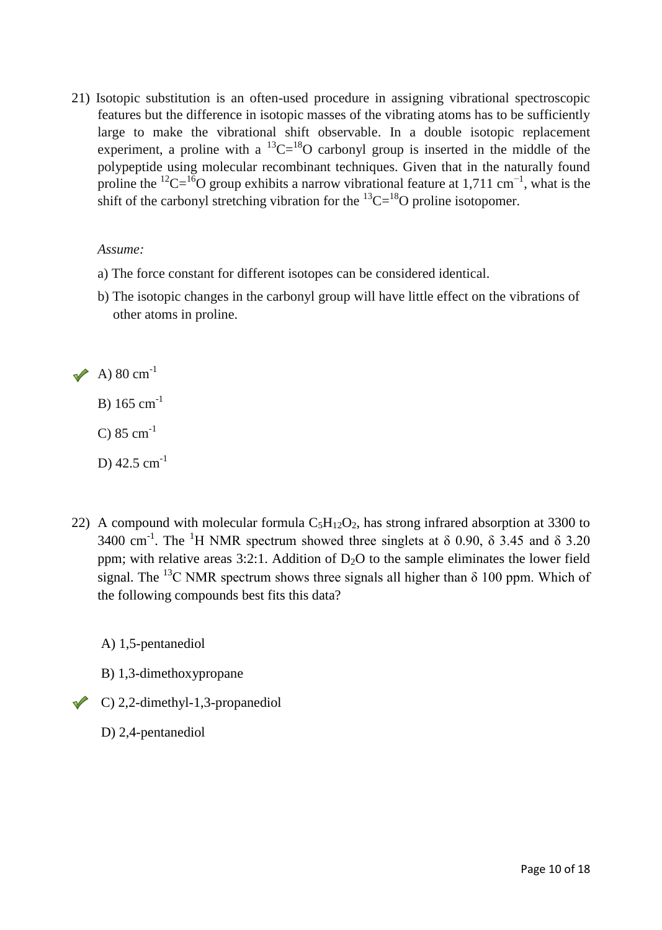21) Isotopic substitution is an often-used procedure in assigning vibrational spectroscopic features but the difference in isotopic masses of the vibrating atoms has to be sufficiently large to make the vibrational shift observable. In a double isotopic replacement experiment, a proline with a  ${}^{13}C = {}^{18}O$  carbonyl group is inserted in the middle of the polypeptide using molecular recombinant techniques. Given that in the naturally found proline the <sup>12</sup>C=<sup>16</sup>O group exhibits a narrow vibrational feature at 1,711 cm<sup>-1</sup>, what is the shift of the carbonyl stretching vibration for the  $^{13}C = ^{18}O$  proline isotopomer.

#### *Assume:*

- a) The force constant for different isotopes can be considered identical.
- b) The isotopic changes in the carbonyl group will have little effect on the vibrations of other atoms in proline.

 $\blacktriangleright$  A) 80 cm<sup>-1</sup>

B)  $165 \text{ cm}^{-1}$ 

 $C) 85 cm^{-1}$ 

D)  $42.5$  cm<sup>-1</sup>

22) A compound with molecular formula  $C_5H_{12}O_2$ , has strong infrared absorption at 3300 to 3400 cm<sup>-1</sup>. The <sup>1</sup>H NMR spectrum showed three singlets at  $\delta$  0.90,  $\delta$  3.45 and  $\delta$  3.20 ppm; with relative areas  $3:2:1$ . Addition of  $D<sub>2</sub>O$  to the sample eliminates the lower field signal. The <sup>13</sup>C NMR spectrum shows three signals all higher than  $\delta$  100 ppm. Which of the following compounds best fits this data?

A) 1,5-pentanediol

- B) 1,3-dimethoxypropane
- C) 2,2-dimethyl-1,3-propanediol
	- D) 2,4-pentanediol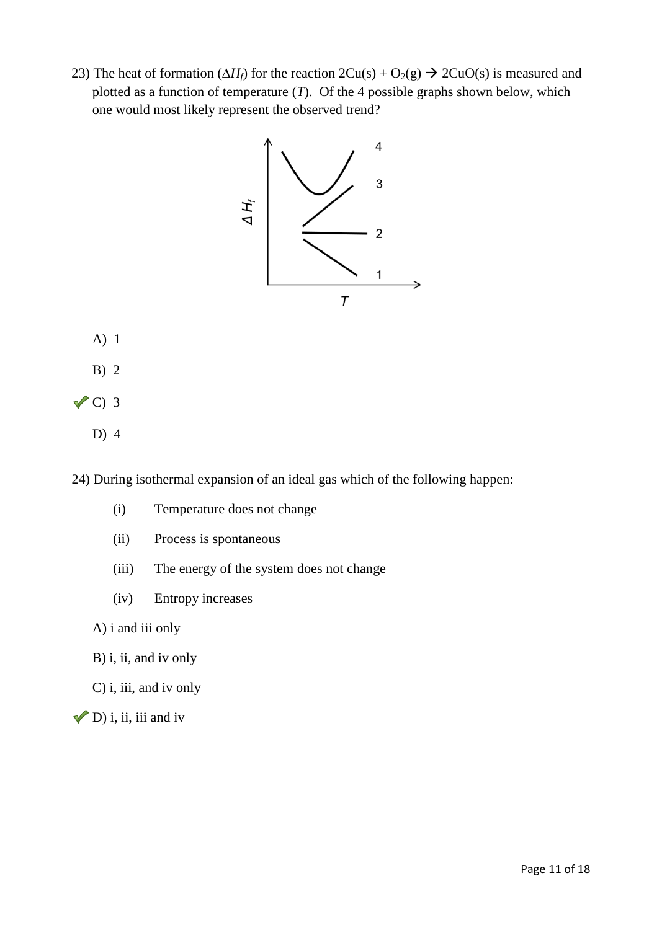23) The heat of formation  $(\Delta H_f)$  for the reaction  $2Cu(s) + O_2(g) \rightarrow 2CuO(s)$  is measured and plotted as a function of temperature (*T*). Of the 4 possible graphs shown below, which one would most likely represent the observed trend?



- A) 1
- B) 2
- $\sqrt{C}$  3
	- D) 4

24) During isothermal expansion of an ideal gas which of the following happen:

- (i) Temperature does not change
- (ii) Process is spontaneous
- (iii) The energy of the system does not change
- (iv) Entropy increases
- A) i and iii only
- B) i, ii, and iv only
- C) i, iii, and iv only
- $\nabla$ D) i, ii, iii and iv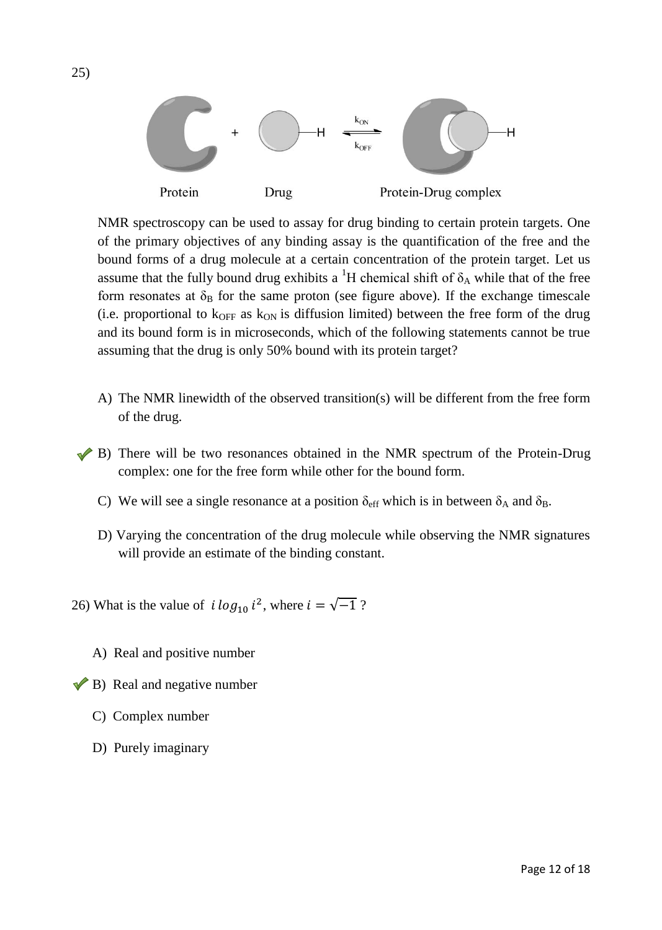

NMR spectroscopy can be used to assay for drug binding to certain protein targets. One of the primary objectives of any binding assay is the quantification of the free and the bound forms of a drug molecule at a certain concentration of the protein target. Let us assume that the fully bound drug exhibits a <sup>1</sup>H chemical shift of  $\delta_A$  while that of the free form resonates at  $\delta_B$  for the same proton (see figure above). If the exchange timescale (i.e. proportional to  $k_{OFF}$  as  $k_{ON}$  is diffusion limited) between the free form of the drug and its bound form is in microseconds, which of the following statements cannot be true assuming that the drug is only 50% bound with its protein target?

- A) The NMR linewidth of the observed transition(s) will be different from the free form of the drug.
- $\blacktriangleright$  B) There will be two resonances obtained in the NMR spectrum of the Protein-Drug complex: one for the free form while other for the bound form.
	- C) We will see a single resonance at a position  $\delta_{\text{eff}}$  which is in between  $\delta_A$  and  $\delta_B$ .
	- D) Varying the concentration of the drug molecule while observing the NMR signatures will provide an estimate of the binding constant.
- 26) What is the value of  $i \log_{10} i^2$ , where  $i = \sqrt{-1}$ ?
	- A) Real and positive number
- $\blacktriangleright$  B) Real and negative number
	- C) Complex number
	- D) Purely imaginary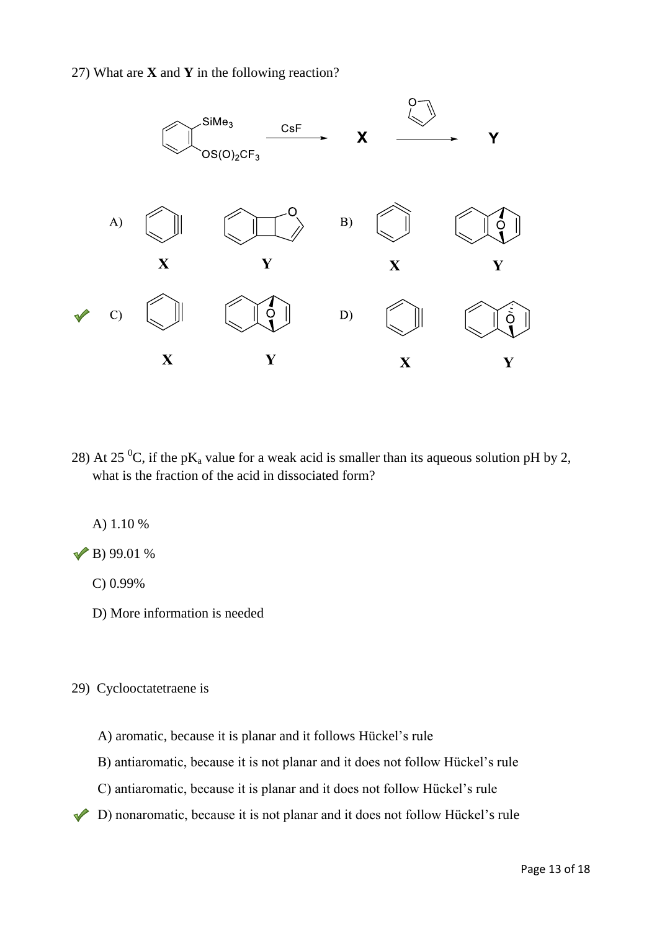

28) At 25 <sup>0</sup>C, if the pK<sub>a</sub> value for a weak acid is smaller than its aqueous solution pH by 2, what is the fraction of the acid in dissociated form?

A) 1.10 %

 $\sqrt{B}$ ) 99.01 %

C) 0.99%

D) More information is needed

29) Cyclooctatetraene is

A) aromatic, because it is planar and it follows Hückel's rule

B) antiaromatic, because it is not planar and it does not follow Hückel's rule

C) antiaromatic, because it is planar and it does not follow Hückel's rule

D) nonaromatic, because it is not planar and it does not follow Hückel's rule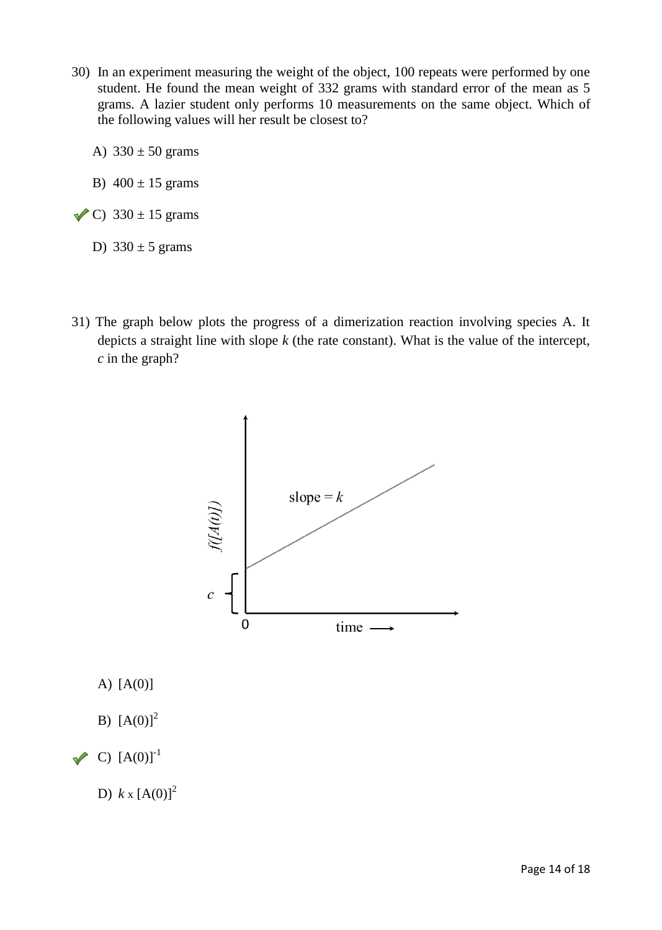- 30) In an experiment measuring the weight of the object, 100 repeats were performed by one student. He found the mean weight of 332 grams with standard error of the mean as 5 grams. A lazier student only performs 10 measurements on the same object. Which of the following values will her result be closest to?
	- A)  $330 \pm 50$  grams
	- B)  $400 \pm 15$  grams
- $\checkmark$  C) 330 ± 15 grams

### D)  $330 \pm 5$  grams

31) The graph below plots the progress of a dimerization reaction involving species A. It depicts a straight line with slope *k* (the rate constant). What is the value of the intercept, *c* in the graph?



A) [A(0)]

- B)  $[A(0)]^2$
- $\vee$  C)  $[A(0)]^{-1}$

D)  $k \times [A(0)]^2$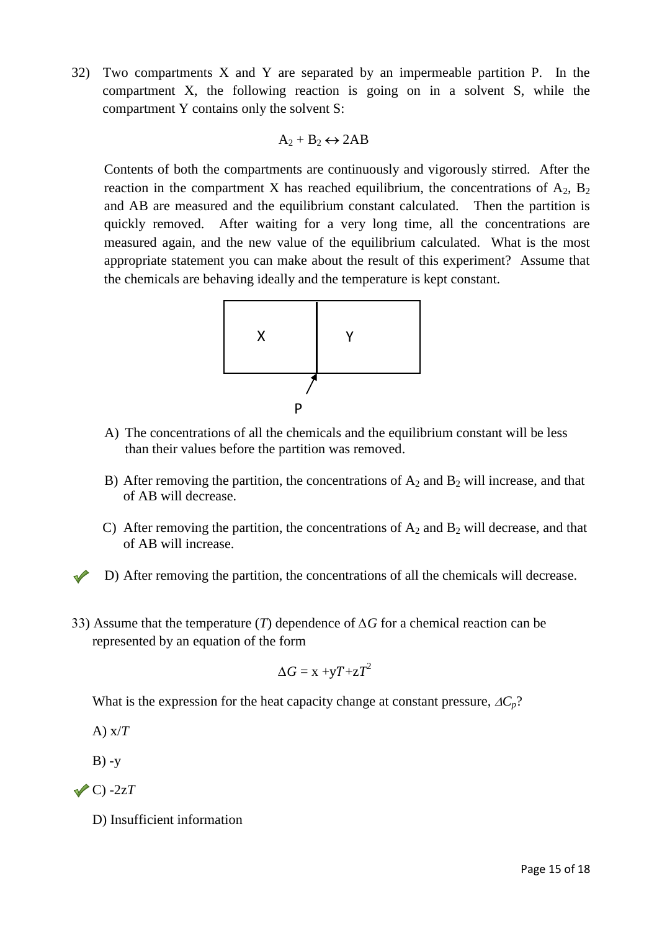32) Two compartments X and Y are separated by an impermeable partition P. In the compartment X, the following reaction is going on in a solvent S, while the compartment Y contains only the solvent S:

$$
A_2 + B_2 \leftrightarrow 2AB
$$

Contents of both the compartments are continuously and vigorously stirred. After the reaction in the compartment X has reached equilibrium, the concentrations of  $A_2$ ,  $B_2$ and AB are measured and the equilibrium constant calculated. Then the partition is quickly removed. After waiting for a very long time, all the concentrations are measured again, and the new value of the equilibrium calculated. What is the most appropriate statement you can make about the result of this experiment? Assume that the chemicals are behaving ideally and the temperature is kept constant.



- A) The concentrations of all the chemicals and the equilibrium constant will be less than their values before the partition was removed.
- B) After removing the partition, the concentrations of  $A_2$  and  $B_2$  will increase, and that of AB will decrease.
- C) After removing the partition, the concentrations of  $A_2$  and  $B_2$  will decrease, and that of AB will increase.
- D) After removing the partition, the concentrations of all the chemicals will decrease.
- 33) Assume that the temperature (*T*) dependence of *∆G* for a chemical reaction can be represented by an equation of the form

$$
\Delta G = x + yT + zT^2
$$

What is the expression for the heat capacity change at constant pressure,  $AC_p$ ?

A) x/*T*

 $B) -y$ 

 $\sqrt{C}$  -2z*T* 

D) Insufficient information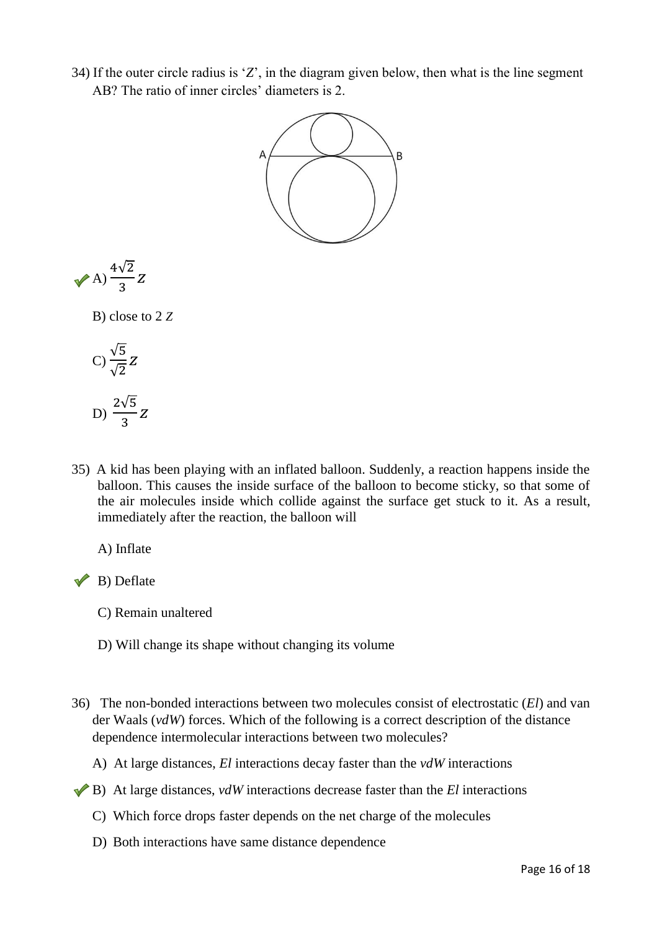34) If the outer circle radius is '*Z*', in the diagram given below, then what is the line segment AB? The ratio of inner circles' diameters is 2.



$$
\sqrt{A} \frac{4\sqrt{2}}{3} Z
$$

B) close to 2 *Z*

C) 
$$
\frac{\sqrt{5}}{\sqrt{2}} Z
$$
  
D) 
$$
\frac{2\sqrt{5}}{3} Z
$$

35) A kid has been playing with an inflated balloon. Suddenly, a reaction happens inside the balloon. This causes the inside surface of the balloon to become sticky, so that some of the air molecules inside which collide against the surface get stuck to it. As a result, immediately after the reaction, the balloon will

A) Inflate

 $\vee$  B) Deflate

- C) Remain unaltered
- D) Will change its shape without changing its volume
- 36) The non-bonded interactions between two molecules consist of electrostatic (*El*) and van der Waals (*vdW*) forces. Which of the following is a correct description of the distance dependence intermolecular interactions between two molecules?
	- A) At large distances, *El* interactions decay faster than the *vdW* interactions
- B) At large distances, *vdW* interactions decrease faster than the *El* interactions
	- C) Which force drops faster depends on the net charge of the molecules
	- D) Both interactions have same distance dependence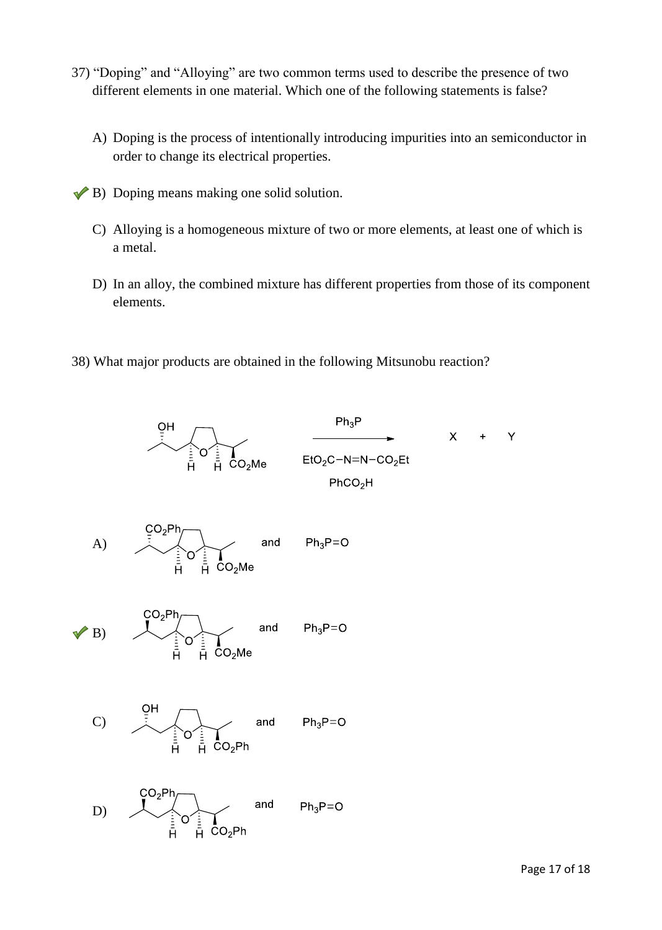- 37) "Doping" and "Alloying" are two common terms used to describe the presence of two different elements in one material. Which one of the following statements is false?
	- A) Doping is the process of intentionally introducing impurities into an semiconductor in order to change its electrical properties.
- $\blacktriangleright$  B) Doping means making one solid solution.
	- C) Alloying is a homogeneous mixture of two or more elements, at least one of which is a metal.
	- D) In an alloy, the combined mixture has different properties from those of its component elements.
- 38) What major products are obtained in the following Mitsunobu reaction?